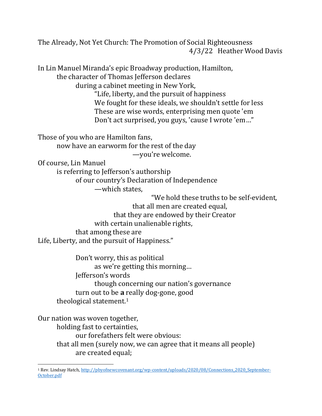The Already, Not Yet Church: The Promotion of Social Righteousness 4/3/22 Heather Wood Davis

In Lin Manuel Miranda's epic Broadway production, Hamilton, the character of Thomas Jefferson declares during a cabinet meeting in New York, "Life, liberty, and the pursuit of happiness We fought for these ideals, we shouldn't settle for less These are wise words, enterprising men quote 'em Don't act surprised, you guys, 'cause I wrote 'em…" Those of you who are Hamilton fans, now have an earworm for the rest of the day —you're welcome. Of course, Lin Manuel is referring to Jefferson's authorship of our country's Declaration of Independence —which states, "We hold these truths to be self-evident, that all men are created equal,

that they are endowed by their Creator with certain unalienable rights, that among these are Life, Liberty, and the pursuit of Happiness."

Don't worry, this as political as we're getting this morning… Jefferson's words though concerning our nation's governance turn out to be **a** really dog-gone, good theological statement.<sup>1</sup>

Our nation was woven together,

holding fast to certainties,

our forefathers felt were obvious:

that all men (surely now, we can agree that it means all people) are created equal;

<sup>1</sup> Rev. Lindsay Hatch[, http://pbyofnewcovenant.org/wp-content/uploads/2020/08/Connections\\_2020\\_September-](http://pbyofnewcovenant.org/wp-content/uploads/2020/08/Connections_2020_September-October.pdf)[October.pdf](http://pbyofnewcovenant.org/wp-content/uploads/2020/08/Connections_2020_September-October.pdf)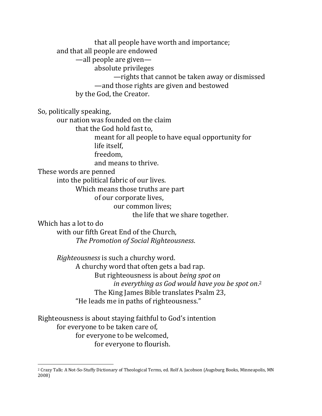that all people have worth and importance; and that all people are endowed —all people are given absolute privileges —rights that cannot be taken away or dismissed —and those rights are given and bestowed by the God, the Creator.

So, politically speaking,

our nation was founded on the claim

that the God hold fast to,

meant for all people to have equal opportunity for

life itself,

freedom,

and means to thrive.

These words are penned

into the political fabric of our lives.

Which means those truths are part

of our corporate lives,

our common lives;

the life that we share together.

Which has a lot to do

with our fifth Great End of the Church, *The Promotion of Social Righteousness*.

*Righteousness* is such a churchy word. A churchy word that often gets a bad rap. But righteousness is about *being spot on in everything as God would have you be spot on*. 2 The King James Bible translates Psalm 23, "He leads me in paths of righteousness."

Righteousness is about staying faithful to God's intention for everyone to be taken care of, for everyone to be welcomed, for everyone to flourish.

<sup>2</sup> Crazy Talk: A Not-So-Stuffy Dictionary of Theological Terms, ed. Rolf A. Jacobson (Augsburg Books, Minneapolis, MN 2008)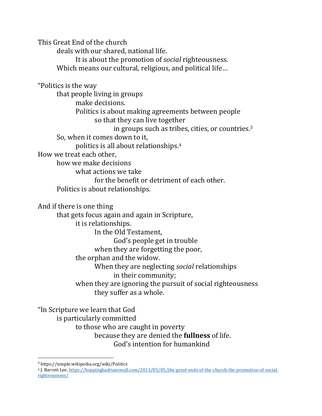This Great End of the church

deals with our shared, national life.

It is about the promotion of *social* righteousness.

Which means our cultural, religious, and political life…

"Politics is the way

that people living in groups make decisions. Politics is about making agreements between people so that they can live together

in groups such as tribes, cities, or countries.<sup>3</sup>

So, when it comes down to it,

politics is all about relationships. 4

How we treat each other,

how we make decisions

what actions we take

for the benefit or detriment of each other.

Politics is about relationships.

And if there is one thing

that gets focus again and again in Scripture,

it is relationships.

In the Old Testament,

God's people get in trouble

when they are forgetting the poor,

the orphan and the widow.

When they are neglecting *social* relationships

in their community;

when they are ignoring the pursuit of social righteousness they suffer as a whole.

"In Scripture we learn that God is particularly committed to those who are caught in poverty because they are denied the **fullness** of life.

God's intention for humankind

<sup>3</sup> https://simple.wikipedia.org/wiki/Politics

<sup>4</sup> J. Barrett Lee[, https://hoppinghadrianswall.com/2013/05/05/the-great-ends-of-the-church-the-promotion-of-social](https://hoppinghadrianswall.com/2013/05/05/the-great-ends-of-the-church-the-promotion-of-social-righteousness/)[righteousness/](https://hoppinghadrianswall.com/2013/05/05/the-great-ends-of-the-church-the-promotion-of-social-righteousness/)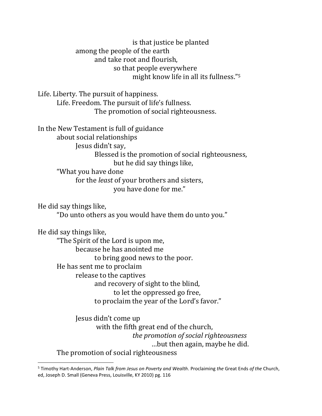is that justice be planted among the people of the earth and take root and flourish, so that people everywhere might know life in all its fullness."<sup>5</sup>

Life. Liberty. The pursuit of happiness. Life. Freedom. The pursuit of life's fullness. The promotion of social righteousness.

In the New Testament is full of guidance about social relationships Jesus didn't say, Blessed is the promotion of social righteousness, but he did say things like, "What you have done for the *least* of your brothers and sisters, you have done for me."

He did say things like, "Do unto others as you would have them do unto you."

He did say things like,

"The Spirit of the Lord is upon me, because he has anointed me to bring good news to the poor. He has sent me to proclaim release to the captives and recovery of sight to the blind, to let the oppressed go free, to proclaim the year of the Lord's favor."

Jesus didn't come up with the fifth great end of the church, *the promotion of social righteousness* …but then again, maybe he did. The promotion of social righteousness

<sup>5</sup> Timothy Hart-Anderson, *Plain Talk from Jesus on Poverty and Wealth*. Proclaiming *the* Great Ends *of the* Church, ed, Joseph D. Small (Geneva Press, Louisville, KY 2010) pg. 116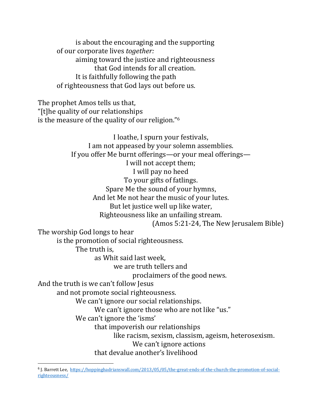is about the encouraging and the supporting of our corporate lives *together:* aiming toward the justice and righteousness that God intends for all creation. It is faithfully following the path of righteousness that God lays out before us.

The prophet Amos tells us that, "[t]he quality of our relationships is the measure of the quality of our religion."<sup>6</sup>

I loathe, I spurn your festivals, I am not appeased by your solemn assemblies. If you offer Me burnt offerings—or your meal offerings— I will not accept them; I will pay no heed To your gifts of fatlings. Spare Me the sound of your hymns, And let Me not hear the music of your lutes. But let justice well up like water, Righteousness like an unfailing stream. (Amos 5:21-24, The New Jerusalem Bible) The worship God longs to hear is the promotion of social righteousness. The truth is, as Whit said last week, we are truth tellers and proclaimers of the good news. And the truth is we can't follow Jesus and not promote social righteousness. We can't ignore our social relationships. We can't ignore those who are not like "us." We can't ignore the 'isms' that impoverish our relationships like racism, sexism, classism, ageism, heterosexism. We can't ignore actions that devalue another's livelihood

<sup>&</sup>lt;sup>6</sup> J. Barrett Lee, [https://hoppinghadrianswall.com/2013/05/05/the-great-ends-of-the-church-the-promotion-of-social](https://hoppinghadrianswall.com/2013/05/05/the-great-ends-of-the-church-the-promotion-of-social-righteousness/)[righteousness/](https://hoppinghadrianswall.com/2013/05/05/the-great-ends-of-the-church-the-promotion-of-social-righteousness/)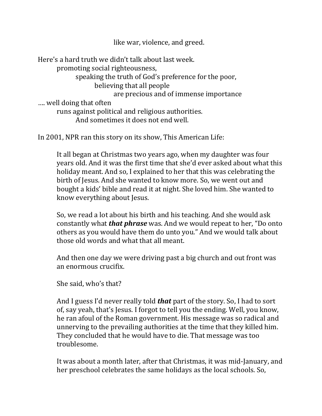like war, violence, and greed.

Here's a hard truth we didn't talk about last week. promoting social righteousness, speaking the truth of God's preference for the poor, believing that all people are precious and of immense importance …. well doing that often runs against political and religious authorities. And sometimes it does not end well.

In 2001, NPR ran this story on its show, This American Life:

It all began at Christmas two years ago, when my daughter was four years old. And it was the first time that she'd ever asked about what this holiday meant. And so, I explained to her that this was celebrating the birth of Jesus. And she wanted to know more. So, we went out and bought a kids' bible and read it at night. She loved him. She wanted to know everything about Jesus.

So, we read a lot about his birth and his teaching. And she would ask constantly what *that phrase* was. And we would repeat to her, "Do onto others as you would have them do unto you." And we would talk about those old words and what that all meant.

And then one day we were driving past a big church and out front was an enormous crucifix.

She said, who's that?

And I guess I'd never really told *that* part of the story. So, I had to sort of, say yeah, that's Jesus. I forgot to tell you the ending. Well, you know, he ran afoul of the Roman government. His message was so radical and unnerving to the prevailing authorities at the time that they killed him. They concluded that he would have to die. That message was too troublesome.

It was about a month later, after that Christmas, it was mid-January, and her preschool celebrates the same holidays as the local schools. So,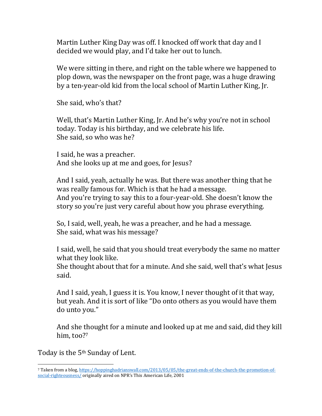Martin Luther King Day was off. I knocked off work that day and I decided we would play, and I'd take her out to lunch.

We were sitting in there, and right on the table where we happened to plop down, was the newspaper on the front page, was a huge drawing by a ten-year-old kid from the local school of Martin Luther King, Jr.

She said, who's that?

Well, that's Martin Luther King, Jr. And he's why you're not in school today. Today is his birthday, and we celebrate his life. She said, so who was he?

I said, he was a preacher. And she looks up at me and goes, for Jesus?

And I said, yeah, actually he was. But there was another thing that he was really famous for. Which is that he had a message. And you're trying to say this to a four-year-old. She doesn't know the story so you're just very careful about how you phrase everything.

So, I said, well, yeah, he was a preacher, and he had a message. She said, what was his message?

I said, well, he said that you should treat everybody the same no matter what they look like.

She thought about that for a minute. And she said, well that's what Jesus said.

And I said, yeah, I guess it is. You know, I never thought of it that way, but yeah. And it is sort of like "Do onto others as you would have them do unto you."

And she thought for a minute and looked up at me and said, did they kill him, too?7

Today is the 5th Sunday of Lent.

<sup>7</sup> Taken from a blog[, https://hoppinghadrianswall.com/2013/05/05/the-great-ends-of-the-church-the-promotion-of](https://hoppinghadrianswall.com/2013/05/05/the-great-ends-of-the-church-the-promotion-of-social-righteousness/)[social-righteousness/](https://hoppinghadrianswall.com/2013/05/05/the-great-ends-of-the-church-the-promotion-of-social-righteousness/) originally aired on NPR's This American Life, 2001